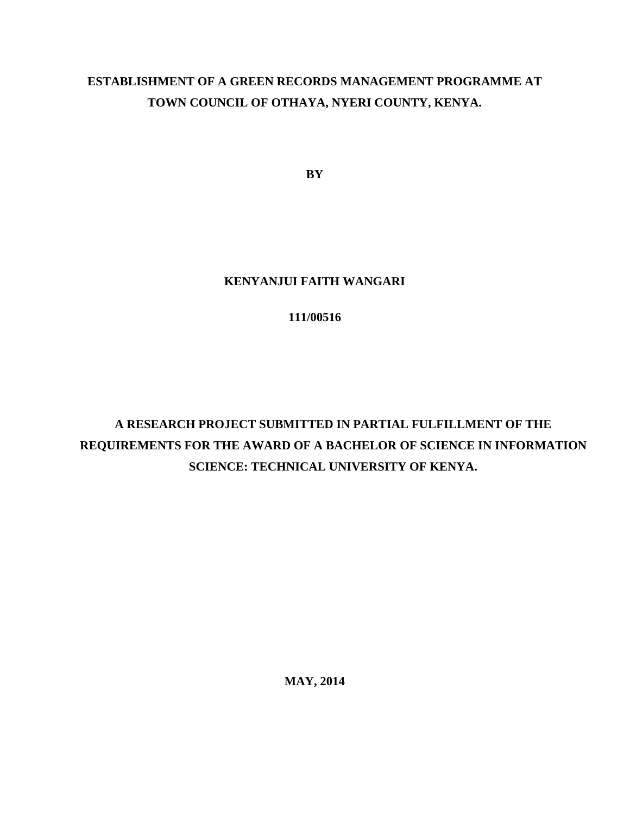## **ESTABLISHMENT OF A GREEN RECORDS MANAGEMENT PROGRAMME AT TOWN COUNCIL OF OTHAYA, NYERI COUNTY, KENYA.**

**BY**

#### **KENYANJUI FAITH WANGARI**

### **111/00516**

# **A RESEARCH PROJECT SUBMITTED IN PARTIAL FULFILLMENT OF THE REQUIREMENTS FOR THE AWARD OF A BACHELOR OF SCIENCE IN INFORMATION SCIENCE: TECHNICAL UNIVERSITY OF KENYA.**

**MAY, 2014**